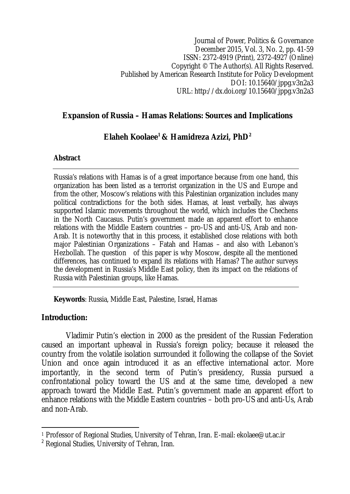Journal of Power, Politics & Governance December 2015, Vol. 3, No. 2, pp. 41-59 ISSN: 2372-4919 (Print), 2372-4927 (Online) Copyright © The Author(s). All Rights Reserved. Published by American Research Institute for Policy Development DOI: 10.15640/jppg.v3n2a3 URL: http://dx.doi.org/10.15640/jppg.v3n2a3

## **Expansion of Russia – Hamas Relations: Sources and Implications**

# **Elaheh Koolaee<sup>1</sup> & Hamidreza Azizi, PhD<sup>2</sup>**

#### **Abstract**

Russia's relations with Hamas is of a great importance because from one hand, this organization has been listed as a terrorist organization in the US and Europe and from the other, Moscow's relations with this Palestinian organization includes many political contradictions for the both sides. Hamas, at least verbally, has always supported Islamic movements throughout the world, which includes the Chechens in the North Caucasus. Putin's government made an apparent effort to enhance relations with the Middle Eastern countries – pro-US and anti-US, Arab and non-Arab. It is noteworthy that in this process, it established close relations with both major Palestinian Organizations – Fatah and Hamas – and also with Lebanon's Hezbollah. The question of this paper is why Moscow, despite all the mentioned differences, has continued to expand its relations with Hamas? The author surveys the development in Russia's Middle East policy, then its impact on the relations of Russia with Palestinian groups, like Hamas.

**Keywords**: Russia, Middle East, Palestine, Israel, Hamas

### **Introduction:**

Vladimir Putin's election in 2000 as the president of the Russian Federation caused an important upheaval in Russia's foreign policy; because it released the country from the volatile isolation surrounded it following the collapse of the Soviet Union and once again introduced it as an effective international actor. More importantly, in the second term of Putin's presidency, Russia pursued a confrontational policy toward the US and at the same time, developed a new approach toward the Middle East. Putin's government made an apparent effort to enhance relations with the Middle Eastern countries – both pro-US and anti-Us, Arab and non-Arab.

 $\overline{a}$ <sup>1</sup> Professor of Regional Studies, University of Tehran, Iran. E-mail: ekolaee@ut.ac.ir

 $<sup>2</sup>$  Regional Studies, University of Tehran, Iran.</sup>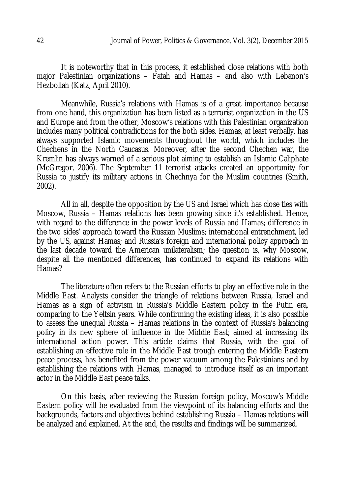It is noteworthy that in this process, it established close relations with both major Palestinian organizations – Fatah and Hamas – and also with Lebanon's Hezbollah (Katz, April 2010).

Meanwhile, Russia's relations with Hamas is of a great importance because from one hand, this organization has been listed as a terrorist organization in the US and Europe and from the other, Moscow's relations with this Palestinian organization includes many political contradictions for the both sides. Hamas, at least verbally, has always supported Islamic movements throughout the world, which includes the Chechens in the North Caucasus. Moreover, after the second Chechen war, the Kremlin has always warned of a serious plot aiming to establish an Islamic Caliphate (McGregor, 2006). The September 11 terrorist attacks created an opportunity for Russia to justify its military actions in Chechnya for the Muslim countries (Smith, 2002).

All in all, despite the opposition by the US and Israel which has close ties with Moscow, Russia – Hamas relations has been growing since it's established. Hence, with regard to the difference in the power levels of Russia and Hamas; difference in the two sides' approach toward the Russian Muslims; international entrenchment, led by the US, against Hamas; and Russia's foreign and international policy approach in the last decade toward the American unilateralism; the question is, why Moscow, despite all the mentioned differences, has continued to expand its relations with Hamas?

The literature often refers to the Russian efforts to play an effective role in the Middle East. Analysts consider the triangle of relations between Russia, Israel and Hamas as a sign of activism in Russia's Middle Eastern policy in the Putin era, comparing to the Yeltsin years. While confirming the existing ideas, it is also possible to assess the unequal Russia – Hamas relations in the context of Russia's balancing policy in its new sphere of influence in the Middle East; aimed at increasing its international action power. This article claims that Russia, with the goal of establishing an effective role in the Middle East trough entering the Middle Eastern peace process, has benefited from the power vacuum among the Palestinians and by establishing the relations with Hamas, managed to introduce itself as an important actor in the Middle East peace talks.

On this basis, after reviewing the Russian foreign policy, Moscow's Middle Eastern policy will be evaluated from the viewpoint of its balancing efforts and the backgrounds, factors and objectives behind establishing Russia – Hamas relations will be analyzed and explained. At the end, the results and findings will be summarized.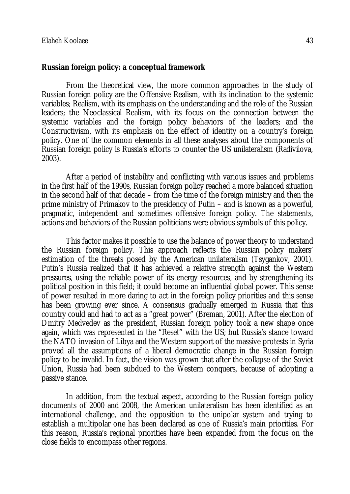#### **Russian foreign policy: a conceptual framework**

From the theoretical view, the more common approaches to the study of Russian foreign policy are the Offensive Realism, with its inclination to the systemic variables; Realism, with its emphasis on the understanding and the role of the Russian leaders; the Neoclassical Realism, with its focus on the connection between the systemic variables and the foreign policy behaviors of the leaders; and the Constructivism, with its emphasis on the effect of identity on a country's foreign policy. One of the common elements in all these analyses about the components of Russian foreign policy is Russia's efforts to counter the US unilateralism (Radivilova, 2003).

After a period of instability and conflicting with various issues and problems in the first half of the 1990s, Russian foreign policy reached a more balanced situation in the second half of that decade – from the time of the foreign ministry and then the prime ministry of Primakov to the presidency of Putin – and is known as a powerful, pragmatic, independent and sometimes offensive foreign policy. The statements, actions and behaviors of the Russian politicians were obvious symbols of this policy.

This factor makes it possible to use the balance of power theory to understand the Russian foreign policy. This approach reflects the Russian policy makers' estimation of the threats posed by the American unilateralism (Tsygankov, 2001). Putin's Russia realized that it has achieved a relative strength against the Western pressures, using the reliable power of its energy resources, and by strengthening its political position in this field; it could become an influential global power. This sense of power resulted in more daring to act in the foreign policy priorities and this sense has been growing ever since. A consensus gradually emerged in Russia that this country could and had to act as a "great power" (Breman, 2001). After the election of Dmitry Medvedev as the president, Russian foreign policy took a new shape once again, which was represented in the "Reset" with the US; but Russia's stance toward the NATO invasion of Libya and the Western support of the massive protests in Syria proved all the assumptions of a liberal democratic change in the Russian foreign policy to be invalid. In fact, the vision was grown that after the collapse of the Soviet Union, Russia had been subdued to the Western conquers, because of adopting a passive stance.

In addition, from the textual aspect, according to the Russian foreign policy documents of 2000 and 2008, the American unilateralism has been identified as an international challenge, and the opposition to the unipolar system and trying to establish a multipolar one has been declared as one of Russia's main priorities. For this reason, Russia's regional priorities have been expanded from the focus on the close fields to encompass other regions.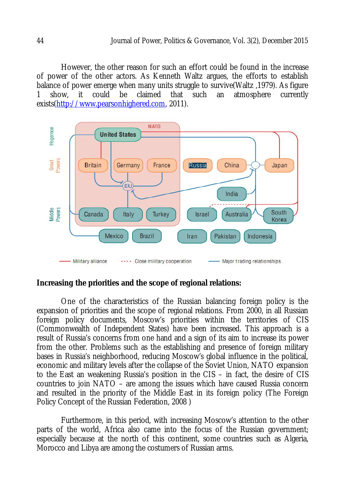However, the other reason for such an effort could be found in the increase of power of the other actors. As Kenneth Waltz argues, the efforts to establish balance of power emerge when many units struggle to survive(Waltz , 1979). As figure<br>1 show, it could be claimed that such an atmosphere currently 1 show, it could be claimed that such an atmosphere currently exists(http://www.pearsonhighered.com, 2011).



#### **Increasing the priorities and the scope of regional relations:**

One of the characteristics of the Russian balancing foreign policy is the expansion of priorities and the scope of regional relations. From 2000, in all Russian foreign policy documents, Moscow's priorities within the territories of CIS (Commonwealth of Independent States) have been increased. This approach is a result of Russia's concerns from one hand and a sign of its aim to increase its power from the other. Problems such as the establishing and presence of foreign military bases in Russia's neighborhood, reducing Moscow's global influence in the political, economic and military levels after the collapse of the Soviet Union, NATO expansion to the East an weakening Russia's position in the CIS – in fact, the desire of CIS countries to join NATO – are among the issues which have caused Russia concern and resulted in the priority of the Middle East in its foreign policy (The Foreign Policy Concept of the Russian Federation, 2008 )

Furthermore, in this period, with increasing Moscow's attention to the other parts of the world, Africa also came into the focus of the Russian government; especially because at the north of this continent, some countries such as Algeria, Morocco and Libya are among the costumers of Russian arms.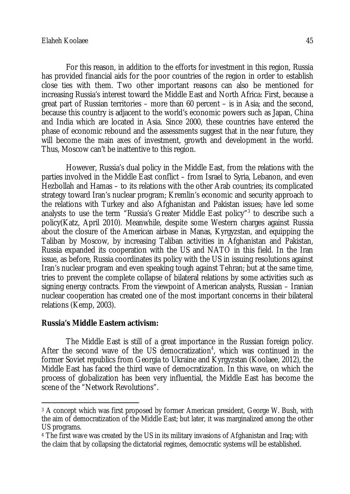For this reason, in addition to the efforts for investment in this region, Russia has provided financial aids for the poor countries of the region in order to establish close ties with them. Two other important reasons can also be mentioned for increasing Russia's interest toward the Middle East and North Africa: First, because a great part of Russian territories – more than 60 percent – is in Asia; and the second, because this country is adjacent to the world's economic powers such as Japan, China and India which are located in Asia. Since 2000, these countries have entered the phase of economic rebound and the assessments suggest that in the near future, they will become the main axes of investment, growth and development in the world. Thus, Moscow can't be inattentive to this region.

However, Russia's dual policy in the Middle East, from the relations with the parties involved in the Middle East conflict – from Israel to Syria, Lebanon, and even Hezbollah and Hamas – to its relations with the other Arab countries; its complicated strategy toward Iran's nuclear program; Kremlin's economic and security approach to the relations with Turkey and also Afghanistan and Pakistan issues; have led some analysts to use the term "Russia's Greater Middle East policy"<sup>3</sup> to describe such a policy(Katz, April 2010). Meanwhile, despite some Western charges against Russia about the closure of the American airbase in Manas, Kyrgyzstan, and equipping the Taliban by Moscow, by increasing Taliban activities in Afghanistan and Pakistan, Russia expanded its cooperation with the US and NATO in this field. In the Iran issue, as before, Russia coordinates its policy with the US in issuing resolutions against Iran's nuclear program and even speaking tough against Tehran; but at the same time, tries to prevent the complete collapse of bilateral relations by some activities such as signing energy contracts. From the viewpoint of American analysts, Russian – Iranian nuclear cooperation has created one of the most important concerns in their bilateral relations (Kemp, 2003).

### **Russia's Middle Eastern activism:**

 $\overline{a}$ 

The Middle East is still of a great importance in the Russian foreign policy. After the second wave of the US democratization<sup>4</sup>, which was continued in the former Soviet republics from Georgia to Ukraine and Kyrgyzstan (Koolaee, 2012), the Middle East has faced the third wave of democratization. In this wave, on which the process of globalization has been very influential, the Middle East has become the scene of the "Network Revolutions".

<sup>3</sup> A concept which was first proposed by former American president, George W. Bush, with the aim of democratization of the Middle East; but later, it was marginalized among the other US programs.

<sup>4</sup> The first wave was created by the US in its military invasions of Afghanistan and Iraq; with the claim that by collapsing the dictatorial regimes, democratic systems will be established.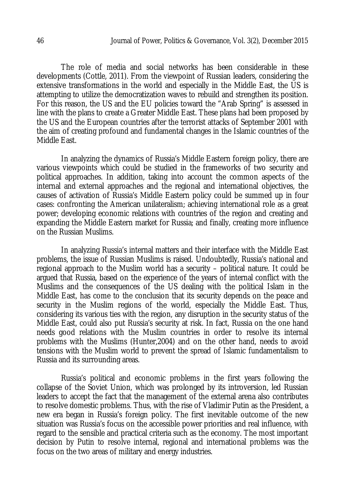The role of media and social networks has been considerable in these developments (Cottle, 2011). From the viewpoint of Russian leaders, considering the extensive transformations in the world and especially in the Middle East, the US is attempting to utilize the democratization waves to rebuild and strengthen its position. For this reason, the US and the EU policies toward the "Arab Spring" is assessed in line with the plans to create a Greater Middle East. These plans had been proposed by the US and the European countries after the terrorist attacks of September 2001 with the aim of creating profound and fundamental changes in the Islamic countries of the Middle East.

In analyzing the dynamics of Russia's Middle Eastern foreign policy, there are various viewpoints which could be studied in the frameworks of two security and political approaches. In addition, taking into account the common aspects of the internal and external approaches and the regional and international objectives, the causes of activation of Russia's Middle Eastern policy could be summed up in four cases: confronting the American unilateralism; achieving international role as a great power; developing economic relations with countries of the region and creating and expanding the Middle Eastern market for Russia; and finally, creating more influence on the Russian Muslims.

In analyzing Russia's internal matters and their interface with the Middle East problems, the issue of Russian Muslims is raised. Undoubtedly, Russia's national and regional approach to the Muslim world has a security – political nature. It could be argued that Russia, based on the experience of the years of internal conflict with the Muslims and the consequences of the US dealing with the political Islam in the Middle East, has come to the conclusion that its security depends on the peace and security in the Muslim regions of the world, especially the Middle East. Thus, considering its various ties with the region, any disruption in the security status of the Middle East, could also put Russia's security at risk. In fact, Russia on the one hand needs good relations with the Muslim countries in order to resolve its internal problems with the Muslims (Hunter,2004) and on the other hand, needs to avoid tensions with the Muslim world to prevent the spread of Islamic fundamentalism to Russia and its surrounding areas.

Russia's political and economic problems in the first years following the collapse of the Soviet Union, which was prolonged by its introversion, led Russian leaders to accept the fact that the management of the external arena also contributes to resolve domestic problems. Thus, with the rise of Vladimir Putin as the President, a new era began in Russia's foreign policy. The first inevitable outcome of the new situation was Russia's focus on the accessible power priorities and real influence, with regard to the sensible and practical criteria such as the economy. The most important decision by Putin to resolve internal, regional and international problems was the focus on the two areas of military and energy industries.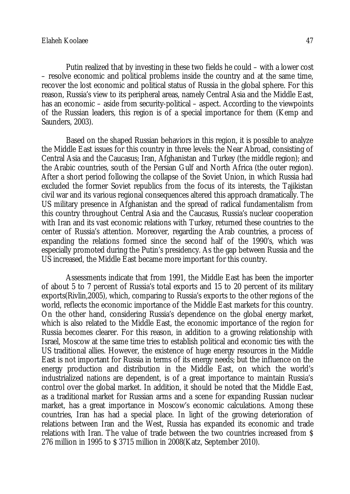Putin realized that by investing in these two fields he could – with a lower cost – resolve economic and political problems inside the country and at the same time, recover the lost economic and political status of Russia in the global sphere. For this reason, Russia's view to its peripheral areas, namely Central Asia and the Middle East, has an economic – aside from security-political – aspect. According to the viewpoints of the Russian leaders, this region is of a special importance for them (Kemp and Saunders, 2003).

Based on the shaped Russian behaviors in this region, it is possible to analyze the Middle East issues for this country in three levels: the Near Abroad, consisting of Central Asia and the Caucasus; Iran, Afghanistan and Turkey (the middle region); and the Arabic countries, south of the Persian Gulf and North Africa (the outer region). After a short period following the collapse of the Soviet Union, in which Russia had excluded the former Soviet republics from the focus of its interests, the Tajikistan civil war and its various regional consequences altered this approach dramatically. The US military presence in Afghanistan and the spread of radical fundamentalism from this country throughout Central Asia and the Caucasus, Russia's nuclear cooperation with Iran and its vast economic relations with Turkey, returned these countries to the center of Russia's attention. Moreover, regarding the Arab countries, a process of expanding the relations formed since the second half of the 1990's, which was especially promoted during the Putin's presidency. As the gap between Russia and the US increased, the Middle East became more important for this country.

Assessments indicate that from 1991, the Middle East has been the importer of about 5 to 7 percent of Russia's total exports and 15 to 20 percent of its military exports(Rivlin,2005), which, comparing to Russia's exports to the other regions of the world, reflects the economic importance of the Middle East markets for this country. On the other hand, considering Russia's dependence on the global energy market, which is also related to the Middle East, the economic importance of the region for Russia becomes clearer. For this reason, in addition to a growing relationship with Israel, Moscow at the same time tries to establish political and economic ties with the US traditional allies. However, the existence of huge energy resources in the Middle East is not important for Russia in terms of its energy needs; but the influence on the energy production and distribution in the Middle East, on which the world's industrialized nations are dependent, is of a great importance to maintain Russia's control over the global market. In addition, it should be noted that the Middle East, as a traditional market for Russian arms and a scene for expanding Russian nuclear market, has a great importance in Moscow's economic calculations. Among these countries, Iran has had a special place. In light of the growing deterioration of relations between Iran and the West, Russia has expanded its economic and trade relations with Iran. The value of trade between the two countries increased from \$ 276 million in 1995 to \$ 3715 million in 2008(Katz, September 2010).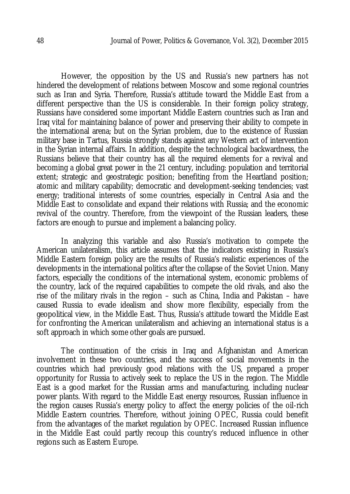However, the opposition by the US and Russia's new partners has not hindered the development of relations between Moscow and some regional countries such as Iran and Syria. Therefore, Russia's attitude toward the Middle East from a different perspective than the US is considerable. In their foreign policy strategy, Russians have considered some important Middle Eastern countries such as Iran and Iraq vital for maintaining balance of power and preserving their ability to compete in the international arena; but on the Syrian problem, due to the existence of Russian military base in Tartus, Russia strongly stands against any Western act of intervention in the Syrian internal affairs. In addition, despite the technological backwardness, the Russians believe that their country has all the required elements for a revival and becoming a global great power in the 21 century, including: population and territorial extent; strategic and geostrategic position; benefiting from the Heartland position; atomic and military capability; democratic and development-seeking tendencies; vast energy; traditional interests of some countries, especially in Central Asia and the Middle East to consolidate and expand their relations with Russia; and the economic revival of the country. Therefore, from the viewpoint of the Russian leaders, these factors are enough to pursue and implement a balancing policy.

In analyzing this variable and also Russia's motivation to compete the American unilateralism, this article assumes that the indicators existing in Russia's Middle Eastern foreign policy are the results of Russia's realistic experiences of the developments in the international politics after the collapse of the Soviet Union. Many factors, especially the conditions of the international system, economic problems of the country, lack of the required capabilities to compete the old rivals, and also the rise of the military rivals in the region – such as China, India and Pakistan – have caused Russia to evade idealism and show more flexibility, especially from the geopolitical view, in the Middle East. Thus, Russia's attitude toward the Middle East for confronting the American unilateralism and achieving an international status is a soft approach in which some other goals are pursued.

The continuation of the crisis in Iraq and Afghanistan and American involvement in these two countries, and the success of social movements in the countries which had previously good relations with the US, prepared a proper opportunity for Russia to actively seek to replace the US in the region. The Middle East is a good market for the Russian arms and manufacturing, including nuclear power plants. With regard to the Middle East energy resources, Russian influence in the region causes Russia's energy policy to affect the energy policies of the oil-rich Middle Eastern countries. Therefore, without joining OPEC, Russia could benefit from the advantages of the market regulation by OPEC. Increased Russian influence in the Middle East could partly recoup this country's reduced influence in other regions such as Eastern Europe.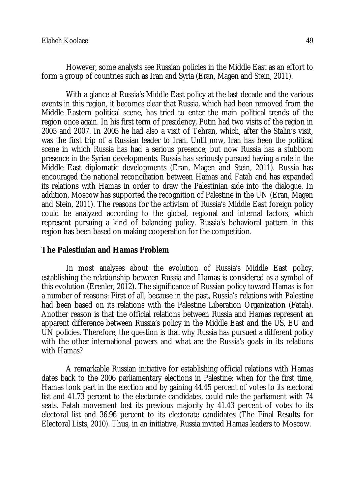However, some analysts see Russian policies in the Middle East as an effort to form a group of countries such as Iran and Syria (Eran, Magen and Stein, 2011).

With a glance at Russia's Middle East policy at the last decade and the various events in this region, it becomes clear that Russia, which had been removed from the Middle Eastern political scene, has tried to enter the main political trends of the region once again. In his first term of presidency, Putin had two visits of the region in 2005 and 2007. In 2005 he had also a visit of Tehran, which, after the Stalin's visit, was the first trip of a Russian leader to Iran. Until now, Iran has been the political scene in which Russia has had a serious presence; but now Russia has a stubborn presence in the Syrian developments. Russia has seriously pursued having a role in the Middle East diplomatic developments (Eran, Magen and Stein, 2011). Russia has encouraged the national reconciliation between Hamas and Fatah and has expanded its relations with Hamas in order to draw the Palestinian side into the dialogue. In addition, Moscow has supported the recognition of Palestine in the UN (Eran, Magen and Stein, 2011). The reasons for the activism of Russia's Middle East foreign policy could be analyzed according to the global, regional and internal factors, which represent pursuing a kind of balancing policy. Russia's behavioral pattern in this region has been based on making cooperation for the competition.

### **The Palestinian and Hamas Problem**

In most analyses about the evolution of Russia's Middle East policy, establishing the relationship between Russia and Hamas is considered as a symbol of this evolution (Erenler, 2012). The significance of Russian policy toward Hamas is for a number of reasons: First of all, because in the past, Russia's relations with Palestine had been based on its relations with the Palestine Liberation Organization (Fatah). Another reason is that the official relations between Russia and Hamas represent an apparent difference between Russia's policy in the Middle East and the US, EU and UN policies. Therefore, the question is that why Russia has pursued a different policy with the other international powers and what are the Russia's goals in its relations with Hamas?

A remarkable Russian initiative for establishing official relations with Hamas dates back to the 2006 parliamentary elections in Palestine; when for the first time, Hamas took part in the election and by gaining 44.45 percent of votes to its electoral list and 41.73 percent to the electorate candidates, could rule the parliament with 74 seats. Fatah movement lost its previous majority by 41.43 percent of votes to its electoral list and 36.96 percent to its electorate candidates (The Final Results for Electoral Lists, 2010). Thus, in an initiative, Russia invited Hamas leaders to Moscow.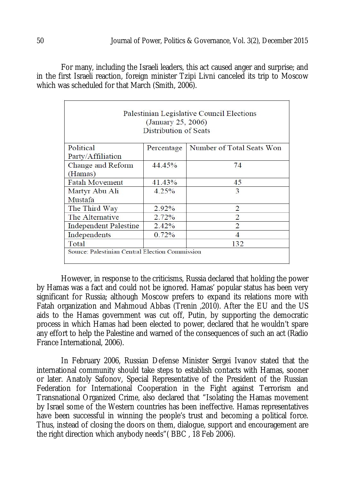For many, including the Israeli leaders, this act caused anger and surprise; and in the first Israeli reaction, foreign minister Tzipi Livni canceled its trip to Moscow which was scheduled for that March (Smith, 2006).

| Palestinian Legislative Council Elections<br>(January 25, 2006)<br>Distribution of Seats |            |                           |
|------------------------------------------------------------------------------------------|------------|---------------------------|
| Political                                                                                | Percentage | Number of Total Seats Won |
| Party/Affiliation                                                                        |            |                           |
| Change and Reform                                                                        | 44.45%     | 74                        |
| (Hamas)                                                                                  |            |                           |
| <b>Fatah Movement</b>                                                                    | 41.43%     | 45                        |
| Martyr Abu Ali                                                                           | 4.25%      | 3                         |
| Mustafa                                                                                  |            |                           |
| The Third Way                                                                            | $2.92\%$   | 2                         |
| The Alternative                                                                          | 2.72%      | $\mathcal{D}$             |
| <b>Independent Palestine</b>                                                             | 2.42%      | $\mathcal{D}$             |
| Independents                                                                             | 0.72%      | 4                         |
| Total                                                                                    |            | 132                       |
| Source: Palestinian Central Election Commission                                          |            |                           |

However, in response to the criticisms, Russia declared that holding the power by Hamas was a fact and could not be ignored. Hamas' popular status has been very significant for Russia; although Moscow prefers to expand its relations more with Fatah organization and Mahmoud Abbas (Trenin ,2010). After the EU and the US aids to the Hamas government was cut off, Putin, by supporting the democratic process in which Hamas had been elected to power, declared that he wouldn't spare any effort to help the Palestine and warned of the consequences of such an act (Radio France International, 2006).

In February 2006, Russian Defense Minister Sergei Ivanov stated that the international community should take steps to establish contacts with Hamas, sooner or later. Anatoly Safonov, Special Representative of the President of the Russian Federation for International Cooperation in the Fight against Terrorism and Transnational Organized Crime, also declared that "Isolating the Hamas movement by Israel some of the Western countries has been ineffective. Hamas representatives have been successful in winning the people's trust and becoming a political force. Thus, instead of closing the doors on them, dialogue, support and encouragement are the right direction which anybody needs"( BBC , 18 Feb 2006).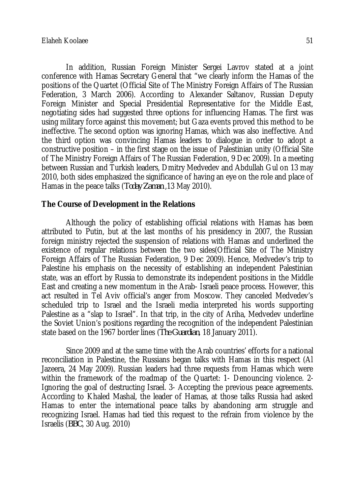In addition, Russian Foreign Minister Sergei Lavrov stated at a joint conference with Hamas Secretary General that "we clearly inform the Hamas of the positions of the Quartet (Official Site of The Ministry Foreign Affairs of The Russian Federation, 3 March 2006). According to Alexander Saltanov, Russian Deputy Foreign Minister and Special Presidential Representative for the Middle East, negotiating sides had suggested three options for influencing Hamas. The first was using military force against this movement; but Gaza events proved this method to be ineffective. The second option was ignoring Hamas, which was also ineffective. And the third option was convincing Hamas leaders to dialogue in order to adopt a constructive position – in the first stage on the issue of Palestinian unity (Official Site of The Ministry Foreign Affairs of The Russian Federation, 9 Dec 2009). In a meeting between Russian and Turkish leaders, Dmitry Medvedev and Abdullah Gul on 13 may 2010, both sides emphasized the significance of having an eye on the role and place of Hamas in the peace talks (*Today Zaman* ,13 May 2010).

#### **The Course of Development in the Relations**

Although the policy of establishing official relations with Hamas has been attributed to Putin, but at the last months of his presidency in 2007, the Russian foreign ministry rejected the suspension of relations with Hamas and underlined the existence of regular relations between the two sides(Official Site of The Ministry Foreign Affairs of The Russian Federation, 9 Dec 2009). Hence, Medvedev's trip to Palestine his emphasis on the necessity of establishing an independent Palestinian state, was an effort by Russia to demonstrate its independent positions in the Middle East and creating a new momentum in the Arab- Israeli peace process. However, this act resulted in Tel Aviv official's anger from Moscow. They canceled Medvedev's scheduled trip to Israel and the Israeli media interpreted his words supporting Palestine as a "slap to Israel". In that trip, in the city of Ariha, Medvedev underline the Soviet Union's positions regarding the recognition of the independent Palestinian state based on the 1967 border lines (*The Guardian*, 18 January 2011).

Since 2009 and at the same time with the Arab countries' efforts for a national reconciliation in Palestine, the Russians began talks with Hamas in this respect (Al Jazeera, 24 May 2009). Russian leaders had three requests from Hamas which were within the framework of the roadmap of the Quartet: 1- Denouncing violence. 2- Ignoring the goal of destructing Israel. 3- Accepting the previous peace agreements. According to Khaled Mashal, the leader of Hamas, at those talks Russia had asked Hamas to enter the international peace talks by abandoning arm struggle and recognizing Israel. Hamas had tied this request to the refrain from violence by the Israelis (*BBC*, 30 Aug. 2010)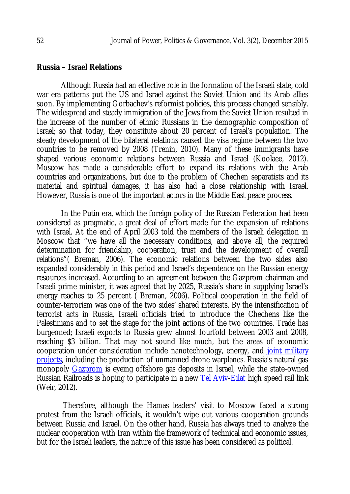#### **Russia – Israel Relations**

Although Russia had an effective role in the formation of the Israeli state, cold war era patterns put the US and Israel against the Soviet Union and its Arab allies soon. By implementing Gorbachev's reformist policies, this process changed sensibly. The widespread and steady immigration of the Jews from the Soviet Union resulted in the increase of the number of ethnic Russians in the demographic composition of Israel; so that today, they constitute about 20 percent of Israel's population. The steady development of the bilateral relations caused the visa regime between the two countries to be removed by 2008 (Trenin, 2010). Many of these immigrants have shaped various economic relations between Russia and Israel (Koolaee, 2012). Moscow has made a considerable effort to expand its relations with the Arab countries and organizations, but due to the problem of Chechen separatists and its material and spiritual damages, it has also had a close relationship with Israel. However, Russia is one of the important actors in the Middle East peace process.

In the Putin era, which the foreign policy of the Russian Federation had been considered as pragmatic, a great deal of effort made for the expansion of relations with Israel. At the end of April 2003 told the members of the Israeli delegation in Moscow that "we have all the necessary conditions, and above all, the required determination for friendship, cooperation, trust and the development of overall relations"( Breman, 2006). The economic relations between the two sides also expanded considerably in this period and Israel's dependence on the Russian energy resources increased. According to an agreement between the Gazprom chairman and Israeli prime minister, it was agreed that by 2025, Russia's share in supplying Israel's energy reaches to 25 percent ( Breman, 2006). Political cooperation in the field of counter-terrorism was one of the two sides' shared interests. By the intensification of terrorist acts in Russia, Israeli officials tried to introduce the Chechens like the Palestinians and to set the stage for the joint actions of the two countries. Trade has burgeoned; Israeli exports to Russia grew almost fourfold between 2003 and 2008, reaching \$3 billion. That may not sound like much, but the areas of economic cooperation under consideration include nanotechnology, energy, and joint military projects, including the production of unmanned drone warplanes. Russia's natural gas monopoly Gazprom is eyeing offshore gas deposits in Israel, while the state-owned Russian Railroads is hoping to participate in a new Tel Aviv-Eilat high speed rail link (Weir, 2012).

Therefore, although the Hamas leaders' visit to Moscow faced a strong protest from the Israeli officials, it wouldn't wipe out various cooperation grounds between Russia and Israel. On the other hand, Russia has always tried to analyze the nuclear cooperation with Iran within the framework of technical and economic issues, but for the Israeli leaders, the nature of this issue has been considered as political.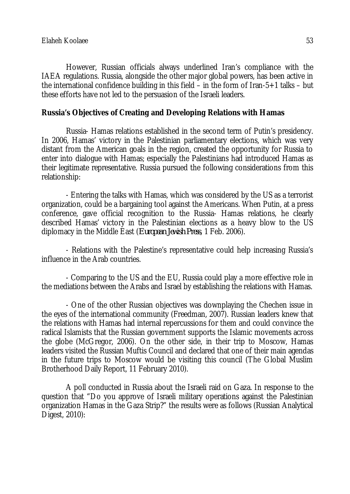However, Russian officials always underlined Iran's compliance with the IAEA regulations. Russia, alongside the other major global powers, has been active in the international confidence building in this field – in the form of Iran-5+1 talks – but these efforts have not led to the persuasion of the Israeli leaders.

#### **Russia's Objectives of Creating and Developing Relations with Hamas**

Russia- Hamas relations established in the second term of Putin's presidency. In 2006, Hamas' victory in the Palestinian parliamentary elections, which was very distant from the American goals in the region, created the opportunity for Russia to enter into dialogue with Hamas; especially the Palestinians had introduced Hamas as their legitimate representative. Russia pursued the following considerations from this relationship:

- Entering the talks with Hamas, which was considered by the US as a terrorist organization, could be a bargaining tool against the Americans. When Putin, at a press conference, gave official recognition to the Russia- Hamas relations, he clearly described Hamas' victory in the Palestinian elections as a heavy blow to the US diplomacy in the Middle East (*European Jewish Press*, 1 Feb. 2006).

- Relations with the Palestine's representative could help increasing Russia's influence in the Arab countries.

- Comparing to the US and the EU, Russia could play a more effective role in the mediations between the Arabs and Israel by establishing the relations with Hamas.

- One of the other Russian objectives was downplaying the Chechen issue in the eyes of the international community (Freedman, 2007). Russian leaders knew that the relations with Hamas had internal repercussions for them and could convince the radical Islamists that the Russian government supports the Islamic movements across the globe (McGregor, 2006). On the other side, in their trip to Moscow, Hamas leaders visited the Russian Muftis Council and declared that one of their main agendas in the future trips to Moscow would be visiting this council (The Global Muslim Brotherhood Daily Report, 11 February 2010).

A poll conducted in Russia about the Israeli raid on Gaza. In response to the question that "Do you approve of Israeli military operations against the Palestinian organization Hamas in the Gaza Strip?" the results were as follows (Russian Analytical Digest, 2010):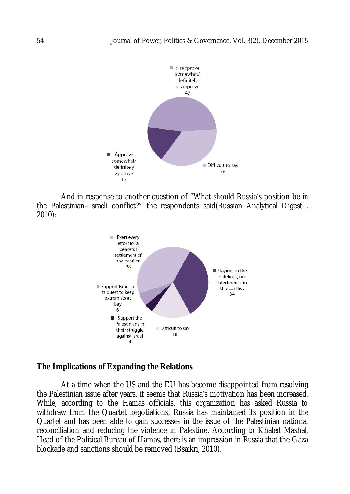

And in response to another question of "What should Russia's position be in the Palestinian–Israeli conflict?" the respondents said(Russian Analytical Digest , 2010):



## **The Implications of Expanding the Relations**

At a time when the US and the EU has become disappointed from resolving the Palestinian issue after years, it seems that Russia's motivation has been increased. While, according to the Hamas officials, this organization has asked Russia to withdraw from the Quartet negotiations, Russia has maintained its position in the Quartet and has been able to gain successes in the issue of the Palestinian national reconciliation and reducing the violence in Palestine. According to Khaled Mashal, Head of the Political Bureau of Hamas, there is an impression in Russia that the Gaza blockade and sanctions should be removed (Bsaikri, 2010).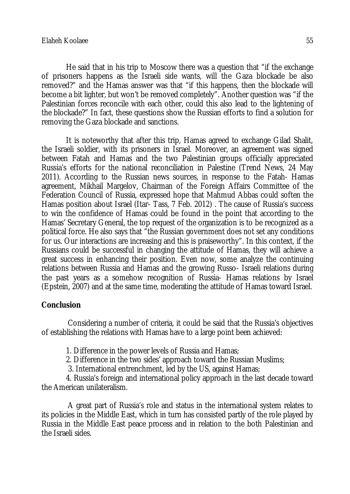He said that in his trip to Moscow there was a question that "if the exchange of prisoners happens as the Israeli side wants, will the Gaza blockade be also removed?" and the Hamas answer was that "if this happens, then the blockade will become a bit lighter, but won't be removed completely". Another question was "if the Palestinian forces reconcile with each other, could this also lead to the lightening of the blockade?" In fact, these questions show the Russian efforts to find a solution for removing the Gaza blockade and sanctions.

It is noteworthy that after this trip, Hamas agreed to exchange Gilad Shalit, the Israeli soldier, with its prisoners in Israel. Moreover, an agreement was signed between Fatah and Hamas and the two Palestinian groups officially appreciated Russia's efforts for the national reconciliation in Palestine (Trend News, 24 May 2011). According to the Russian news sources, in response to the Fatah- Hamas agreement, Mikhail Margelov, Chairman of the Foreign Affairs Committee of the Federation Council of Russia, expressed hope that Mahmud Abbas could soften the Hamas position about Israel (Itar- Tass, 7 Feb. 2012) . The cause of Russia's success to win the confidence of Hamas could be found in the point that according to the Hamas' Secretary General, the top request of the organization is to be recognized as a political force. He also says that "the Russian government does not set any conditions for us. Our interactions are increasing and this is praiseworthy". In this context, if the Russians could be successful in changing the attitude of Hamas, they will achieve a great success in enhancing their position. Even now, some analyze the continuing relations between Russia and Hamas and the growing Russo- Israeli relations during the past years as a somehow recognition of Russia- Hamas relations by Israel (Epstein, 2007) and at the same time, moderating the attitude of Hamas toward Israel.

### **Conclusion**

Considering a number of criteria, it could be said that the Russia's objectives of establishing the relations with Hamas have to a large point been achieved:

1. Difference in the power levels of Russia and Hamas;

2. Difference in the two sides' approach toward the Russian Muslims;

3. International entrenchment, led by the US, against Hamas;

4. Russia's foreign and international policy approach in the last decade toward the American unilateralism.

A great part of Russia's role and status in the international system relates to its policies in the Middle East, which in turn has consisted partly of the role played by Russia in the Middle East peace process and in relation to the both Palestinian and the Israeli sides.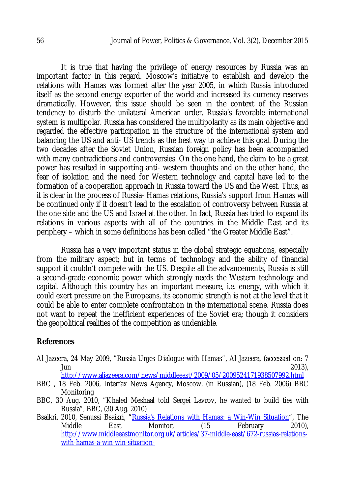It is true that having the privilege of energy resources by Russia was an important factor in this regard. Moscow's initiative to establish and develop the relations with Hamas was formed after the year 2005, in which Russia introduced itself as the second energy exporter of the world and increased its currency reserves dramatically. However, this issue should be seen in the context of the Russian tendency to disturb the unilateral American order. Russia's favorable international system is multipolar. Russia has considered the multipolarity as its main objective and regarded the effective participation in the structure of the international system and balancing the US and anti- US trends as the best way to achieve this goal. During the two decades after the Soviet Union, Russian foreign policy has been accompanied with many contradictions and controversies. On the one hand, the claim to be a great power has resulted in supporting anti- western thoughts and on the other hand, the fear of isolation and the need for Western technology and capital have led to the formation of a cooperation approach in Russia toward the US and the West. Thus, as it is clear in the process of Russia- Hamas relations, Russia's support from Hamas will be continued only if it doesn't lead to the escalation of controversy between Russia at the one side and the US and Israel at the other. In fact, Russia has tried to expand its relations in various aspects with all of the countries in the Middle East and its periphery – which in some definitions has been called "the Greater Middle East".

Russia has a very important status in the global strategic equations, especially from the military aspect; but in terms of technology and the ability of financial support it couldn't compete with the US. Despite all the advancements, Russia is still a second-grade economic power which strongly needs the Western technology and capital. Although this country has an important measure, i.e. energy, with which it could exert pressure on the Europeans, its economic strength is not at the level that it could be able to enter complete confrontation in the international scene. Russia does not want to repeat the inefficient experiences of the Soviet era; though it considers the geopolitical realities of the competition as undeniable.

### **References**

Al Jazeera, 24 May 2009, "Russia Urges Dialogue with Hamas", Al Jazeera, (accessed on: 7  $\lambda$ un 2013),  $\lambda$ 

http://www.aljazeera.com/news/middleeast/2009/05/2009524171938507992.html

- BBC , 18 Feb. 2006, Interfax News Agency, Moscow, (in Russian), (18 Feb. 2006) BBC Monitoring
- BBC, 30 Aug. 2010, "Khaled Meshaal told Sergei Lavrov, he wanted to build ties with Russia", BBC, (30 Aug. 2010)
- Bsaikri, 2010, Senussi Bsaikri, "<u>Russia's Relations with Hamas: a Win-Win Situation</u>", The<br>Middle East Monitor, (15 February 2010), Middle East Monitor, (15 February 2010), http://www.middleeastmonitor.org.uk/articles/37-middle-east/672-russias-relationswith-hamas-a-win-win-situation-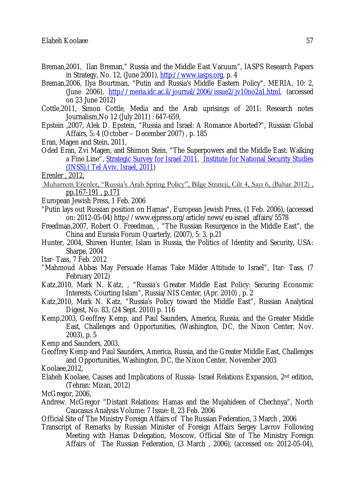- Breman,2001, Ilan Breman," Russia and the Middle East Vacuum", IASPS Research Papers in Strategy, No. 12, (June 2001), http://www.iasps.org, p. 4
- Breman,2006, Ilya Bourtman, "Putin and Russia's Middle Eastern Policy", MERIA, 10: 2, (June 2006), http://meria.idc.ac.il/journal/2006/issue2/jv10no2a1.html, (accessed on 23 June 2012)
- Cottle,2011, Simon Cottle, Media and the Arab uprisings of 2011: Research notes Journalism,No 12 (July 2011) : 647-659,
- Epstein ,2007, Alek D. Epstein, "Russia and Israel: A Romance Aborted?", Russian Global Affairs, 5: 4 (October – December 2007) , p. 185
- Eran, Magen and Stein, 2011,
- Oded Eran, Zvi Magen, and Shimon Stein, "The Superpowers and the Middle East: Walking a Fine Line", Strategic Survey for Israel 2011, Institute for National Security Studies (INSS),( Tel Aviv, Israel, 2011)

Erenler , 2012,

- Muharrem Erenler, "Russia's Arab Spring Policy", Bilge Strateji, Cilt 4, Sayı 6, (Bahar 2012) , pp.167-191 , p.171
- European Jewish Press, 1 Feb. 2006
- "Putin lays out Russian position on Hamas", European Jewish Press, (1 Feb. 2006), (accessed on: 2012-05-04) http://www.ejpress.org/article/news/eu-israel\_affairs/5578
- Freedman,2007, Robert O. Freedman, , "The Russian Resurgence in the Middle East", the China and Eurasia Forum Quarterly, (2007), 5: 3, p.21
- Hunter, 2004, Shireen Hunter, Islam in Russia, the Politics of Identity and Security, USA: Sharpe, 2004
- Itar- Tass, 7 Feb. 2012
- "Mahmoud Abbas May Persuade Hamas Take Milder Attitude to Israel", Itar- Tass, (7 February 2012)
- Katz,2010, Mark N. Katz, , "Russia's Greater Middle East Policy: Securing Economic Interests, Courting Islam", Russia/NIS Center, (Apr. 2010) , p. 2
- Katz,2010, Mark N. Katz, "Russia's Policy toward the Middle East", Russian Analytical Digest, No. 83, (24 Sept. 2010) p. 116
- Kemp,2003, Geoffrey Kemp, and Paul Saunders, America, Russia, and the Greater Middle East, Challenges and Opportunities, (Washington, DC, the Nixon Center, Nov. 2003), p. 5

Kemp and Saunders, 2003,

- Geoffrey Kemp and Paul Saunders, America, Russia, and the Greater Middle East, Challenges and Opportunities, Washington, DC, the Nixon Center, November 2003
- Koolaee,2012,
- Elaheh Koolaee, Causes and Implications of Russia- Israel Relations Expansion, 2nd edition, (Tehran: Mizan, 2012)

McGregor, 2006,

- Andrew. McGregor "Distant Relations: Hamas and the Mujahideen of Chechnya", North Caucasus Analysis Volume: 7 Issue: 8, 23 Feb. 2006
- Official Site of The Ministry Foreign Affairs of The Russian Federation, 3 March , 2006
- Transcript of Remarks by Russian Minister of Foreign Affairs Sergey Lavrov Following Meeting with Hamas Delegation, Moscow, Official Site of The Ministry Foreign Affairs of The Russian Federation, (3 March , 2006), (accessed on: 2012-05-04),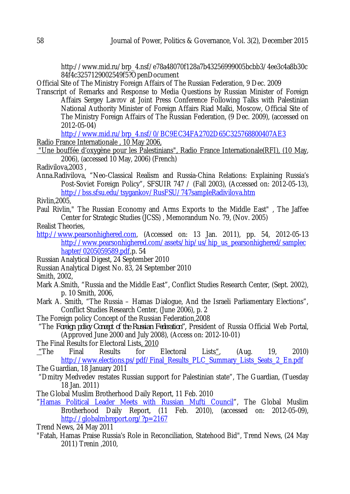http://www.mid.ru/brp\_4.nsf/e78a48070f128a7b43256999005bcbb3/4ee3c4a8b30c 84f4c3257129002549f5?OpenDocument

Official Site of The Ministry Foreign Affairs of The Russian Federation, 9 Dec. 2009

Transcript of Remarks and Response to Media Questions by Russian Minister of Foreign Affairs Sergey Lavrov at Joint Press Conference Following Talks with Palestinian National Authority Minister of Foreign Affairs Riad Malki, Moscow, Official Site of The Ministry Foreign Affairs of The Russian Federation, (9 Dec. 2009), (accessed on 2012-05-04)

http://www.mid.ru/brp\_4.nsf/0/BC9EC34FA2702D65C325768800407AE3 Radio France Internationale , 10 May 2006,

"Une bouffée d'oxygène pour les Palestinians", Radio France Internationale(RFI), (10 May, 2006), (accessed 10 May, 2006) (French)

Radivilova,2003 ,

Anna.Radivilova, "Neo-Classical Realism and Russia-China Relations: Explaining Russia's Post-Soviet Foreign Policy", SFSUIR 747 / (Fall 2003), (Accessed on: 2012-05-13), http://bss.sfsu.edu/tsygankov/RusFSU/747sampleRadivilova.htm

Rivlin,2005,

Paul Rivlin," The Russian Economy and Arms Exports to the Middle East" , The Jaffee Center for Strategic Studies (JCSS) , Memorandum No. 79, (Nov. 2005)

Realist Theories,

http://www.pearsonhighered.com, (Accessed on: 13 Jan. 2011), pp. 54, 2012-05-13 http://www.pearsonhighered.com/assets/hip/us/hip\_us\_pearsonhighered/samplec hapter/0205059589.pdf,p. 54

Russian Analytical Digest, 24 September 2010

Russian Analytical Digest No. 83, 24 September 2010

Smith, 2002,

- Mark A.Smith, "Russia and the Middle East", Conflict Studies Research Center, (Sept. 2002), p. 10 Smith, 2006,
- Mark A. Smith, "The Russia Hamas Dialogue, And the Israeli Parliamentary Elections", Conflict Studies Research Center, (June 2006), p. 2
- The Foreign policy Concept of the Russian Federation,2008
- "The *Foreign policy Concept of the Russian Federation",* President of Russia Official Web Portal, (Approved June 2000 and July 2008), (Access on: 2012-10-01)

The Final Results for Electoral Lists, 2010<br>
"The Final Results for

- "The Final Results for Electoral Lists", (Aug. 19, 2010) http://www.elections.ps/pdf/Final\_Results\_PLC\_Summary\_Lists\_Seats\_2\_En.pdf The Guardian, 18 January 2011
- "Dmitry Medvedev restates Russian support for Palestinian state", The Guardian, (Tuesday 18 Jan. 2011)

The Global Muslim Brotherhood Daily Report, 11 Feb. 2010

"Hamas Political Leader Meets with Russian Mufti Council", The Global Muslim Brotherhood Daily Report, (11 Feb. 2010), (accessed on: 2012-05-09), http://globalmbreport.org/?p=2167

Trend News, 24 May 2011

"Fatah, Hamas Praise Russia's Role in Reconciliation, Statehood Bid", Trend News, (24 May 2011) Trenin ,2010,